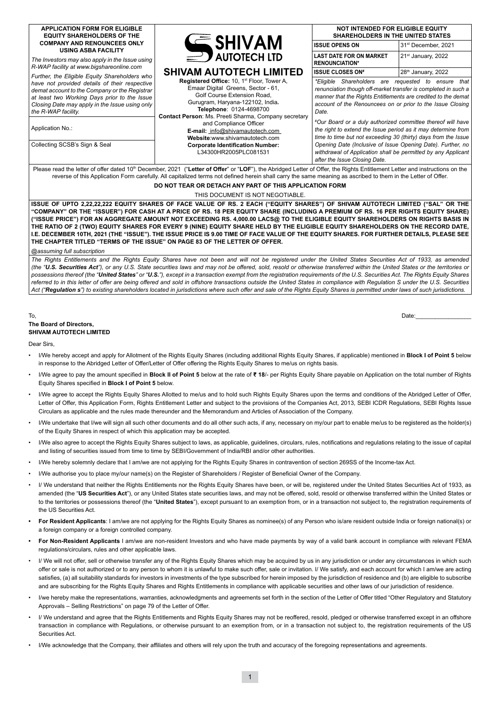| <b>APPLICATION FORM FOR ELIGIBLE</b><br><b>EQUITY SHAREHOLDERS OF THE</b>                                                                                                                                                                   |                                                                                                                                                                                                                                                                                                                                                          | <b>NOT INTENDED FOR ELIGIBLE EQUITY</b><br><b>SHAREHOLDERS IN THE UNITED STATES</b>                                                                                                                                                                                                                                                                                                                                                                                  |                                 |  |  |  |  |  |
|---------------------------------------------------------------------------------------------------------------------------------------------------------------------------------------------------------------------------------------------|----------------------------------------------------------------------------------------------------------------------------------------------------------------------------------------------------------------------------------------------------------------------------------------------------------------------------------------------------------|----------------------------------------------------------------------------------------------------------------------------------------------------------------------------------------------------------------------------------------------------------------------------------------------------------------------------------------------------------------------------------------------------------------------------------------------------------------------|---------------------------------|--|--|--|--|--|
| <b>COMPANY AND RENOUNCEES ONLY</b><br><b>USING ASBA FACILITY</b>                                                                                                                                                                            | <b>CE SHIVAM</b>                                                                                                                                                                                                                                                                                                                                         | <b>ISSUE OPENS ON</b>                                                                                                                                                                                                                                                                                                                                                                                                                                                | 31 <sup>st</sup> December, 2021 |  |  |  |  |  |
| The Investors may also apply in the Issue using<br>R-WAP facility at www.bigshareonline.com                                                                                                                                                 | $\equiv$ <b>D</b> AUTOTECH LTD                                                                                                                                                                                                                                                                                                                           | <b>LAST DATE FOR ON MARKET</b><br><b>RENOUNCIATION*</b>                                                                                                                                                                                                                                                                                                                                                                                                              | $21st$ January, 2022            |  |  |  |  |  |
| Further, the Eligible Equity Shareholders who                                                                                                                                                                                               | <b>SHIVAM AUTOTECH LIMITED</b>                                                                                                                                                                                                                                                                                                                           | <b>ISSUE CLOSES ON#</b>                                                                                                                                                                                                                                                                                                                                                                                                                                              | 28th January, 2022              |  |  |  |  |  |
| have not provided details of their respective<br>demat account to the Company or the Registrar<br>at least two Working Days prior to the Issue<br>Closing Date may apply in the Issue using only<br>the R-WAP facility.<br>Application No.: | <b>Registered Office: 10, 1st Floor, Tower A,</b><br>Emaar Digital Greens, Sector - 61,<br>Golf Course Extension Road,<br>Gurugram, Haryana-122102, India.<br>Telephone: 0124-4698700<br>Contact Person: Ms. Preeti Sharma, Company secretary<br>and Compliance Officer<br>E-mail: info@shivamautotech.com<br>Website:www.shivamautotech.com             | *Eligible Shareholders are requested to ensure<br>that I<br>renunciation though off-market transfer is completed in such a<br>manner that the Rights Entitlements are credited to the demat<br>account of the Renouncees on or prior to the Issue Closing<br>Date.<br>#Our Board or a duly authorized committee thereof will have<br>the right to extend the Issue period as it may determine from<br>time to time but not exceeding 30 (thirty) days from the Issue |                                 |  |  |  |  |  |
| Collecting SCSB's Sign & Seal                                                                                                                                                                                                               | <b>Corporate Identification Number:</b><br>L34300HR2005PLC081531                                                                                                                                                                                                                                                                                         | Opening Date (Inclusive of Issue Opening Date). Further, no<br>withdrawal of Application shall be permitted by any Applicant<br>after the Issue Closing Date.                                                                                                                                                                                                                                                                                                        |                                 |  |  |  |  |  |
|                                                                                                                                                                                                                                             | Please read the letter of offer dated 10 <sup>th</sup> December, 2021 ("Letter of Offer" or "LOF"), the Abridged Letter of Offer, the Rights Entitlement Letter and instructions on the<br>reverse of this Application Form carefully. All capitalized terms not defined herein shall carry the same meaning as ascribed to them in the Letter of Offer. |                                                                                                                                                                                                                                                                                                                                                                                                                                                                      |                                 |  |  |  |  |  |

# **DO NOT TEAR OR DETACH ANY PART OF THIS APPLICATION FORM**

#### THIS DOCUMENT IS NOT NEGOTIABLE.

**ISSUE OF UPTO 2,22,22,222 EQUITY SHARES OF FACE VALUE OF RS. 2 EACH ("EQUITY SHARES") OF SHIVAM AUTOTECH LIMITED ("SAL" OR THE "COMPANY" OR THE "ISSUER") FOR CASH AT A PRICE OF RS. 18 PER EQUITY SHARE (INCLUDING A PREMIUM OF RS. 16 PER RIGHTS EQUITY SHARE) ("ISSUE PRICE") FOR AN AGGREGATE AMOUNT NOT EXCEEDING RS. 4,000.00 LACS@ TO THE ELIGIBLE EQUITY SHAREHOLDERS ON RIGHTS BASIS IN THE RATIO OF 2 (TWO) EQUITY SHARES FOR EVERY 9 (NINE) EQUITY SHARE HELD BY THE ELIGIBLE EQUITY SHAREHOLDERS ON THE RECORD DATE, I.E. DECEMBER 10TH, 2021 (THE "ISSUE"). THE ISSUE PRICE IS 9.00 TIME OF FACE VALUE OF THE EQUITY SHARES. FOR FURTHER DETAILS, PLEASE SEE THE CHAPTER TITLED "TERMS OF THE ISSUE" ON PAGE 83 OF THE LETTER OF OFFER.**

*@assuming full subscription*

*The Rights Entitlements and the Rights Equity Shares have not been and will not be registered under the United States Securities Act of 1933, as amended (the "U.S. Securities Act"), or any U.S. State securities laws and may not be offered, sold, resold or otherwise transferred within the United States or the territories or possessions thereof (the "United States" or "U.S."), except in a transaction exempt from the registration requirements of the U.S. Securities Act. The Rights Equity Shares*  referred to in this letter of offer are being offered and sold in offshore transactions outside the United States in compliance with Regulation S under the U.S. Securities *Act ("Regulation s") to existing shareholders located in jurisdictions where such offer and sale of the Rights Equity Shares is permitted under laws of such jurisdictions.* 

#### To, Date:\_\_\_\_\_\_\_\_\_\_\_\_\_\_\_\_\_ **The Board of Directors, SHIVAM AUTOTECH LIMITED**

Dear Sirs,

- I/We hereby accept and apply for Allotment of the Rights Equity Shares (including additional Rights Equity Shares, if applicable) mentioned in **Block I of Point 5** below in response to the Abridged Letter of Offer/Letter of Offer offering the Rights Equity Shares to me/us on rights basis.
- I/We agree to pay the amount specified in **Block II of Point 5** below at the rate of **₹ 18**/- per Rights Equity Share payable on Application on the total number of Rights Equity Shares specified in **Block I of Point 5** below.
- I/We agree to accept the Rights Equity Shares Allotted to me/us and to hold such Rights Equity Shares upon the terms and conditions of the Abridged Letter of Offer, Letter of Offer, this Application Form, Rights Entitlement Letter and subject to the provisions of the Companies Act, 2013, SEBI ICDR Regulations, SEBI Rights Issue Circulars as applicable and the rules made thereunder and the Memorandum and Articles of Association of the Company.
- I/We undertake that I/we will sign all such other documents and do all other such acts, if any, necessary on my/our part to enable me/us to be registered as the holder(s) of the Equity Shares in respect of which this application may be accepted.
- I/We also agree to accept the Rights Equity Shares subject to laws, as applicable, guidelines, circulars, rules, notifications and regulations relating to the issue of capital and listing of securities issued from time to time by SEBI/Government of India/RBI and/or other authorities.
- I/We hereby solemnly declare that I am/we are not applying for the Rights Equity Shares in contravention of section 269SS of the Income-tax Act.
- I/We authorise you to place my/our name(s) on the Register of Shareholders / Register of Beneficial Owner of the Company.
- I/ We understand that neither the Rights Entitlements nor the Rights Equity Shares have been, or will be, registered under the United States Securities Act of 1933, as amended (the "US Securities Act"), or any United States state securities laws, and may not be offered, sold, resold or otherwise transferred within the United States or to the territories or possessions thereof (the "**United States**"), except pursuant to an exemption from, or in a transaction not subject to, the registration requirements of the US Securities Act.
- **• For Resident Applicants**: I am/we are not applying for the Rights Equity Shares as nominee(s) of any Person who is/are resident outside India or foreign national(s) or a foreign company or a foreign controlled company.
- **• For Non-Resident Applicants** I am/we are non-resident Investors and who have made payments by way of a valid bank account in compliance with relevant FEMA regulations/circulars, rules and other applicable laws.
- I/ We will not offer, sell or otherwise transfer any of the Rights Equity Shares which may be acquired by us in any jurisdiction or under any circumstances in which such offer or sale is not authorized or to any person to whom it is unlawful to make such offer, sale or invitation. I/ We satisfy, and each account for which I am/we are acting satisfies, (a) all suitability standards for investors in investments of the type subscribed for herein imposed by the jurisdiction of residence and (b) are eligible to subscribe and are subscribing for the Rights Equity Shares and Rights Entitlements in compliance with applicable securities and other laws of our jurisdiction of residence.
- I/we hereby make the representations, warranties, acknowledgments and agreements set forth in the section of the Letter of Offer titled "Other Regulatory and Statutory Approvals – Selling Restrictions" on page 79 of the Letter of Offer.
- I/ We understand and agree that the Rights Entitlements and Rights Equity Shares may not be reoffered, resold, pledged or otherwise transferred except in an offshore transaction in compliance with Regulations, or otherwise pursuant to an exemption from, or in a transaction not subject to, the registration requirements of the US Securities Act.
- I/We acknowledge that the Company, their affiliates and others will rely upon the truth and accuracy of the foregoing representations and agreements.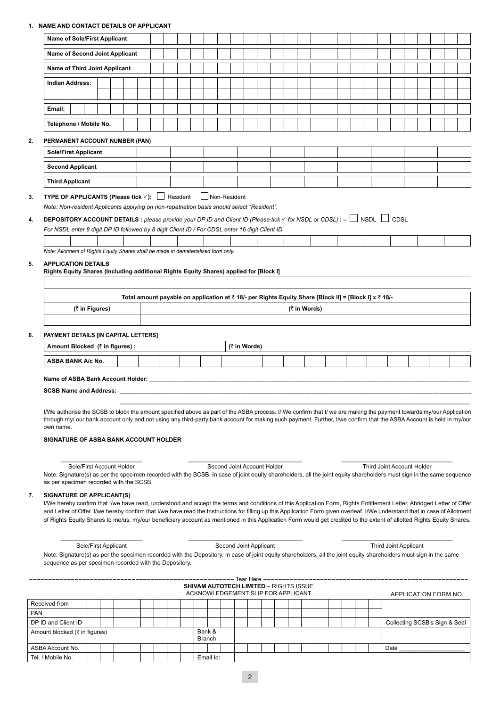## **1. NAME AND CONTACT DETAILS OF APPLICANT**

|    | <b>Name of Sole/First Applicant</b>                                                                                                                                                                                                                                                                                                                   |                |                      |  |  |  |                                                                                                       |              |  |              |  |  |  |                       |                            |                      |  |
|----|-------------------------------------------------------------------------------------------------------------------------------------------------------------------------------------------------------------------------------------------------------------------------------------------------------------------------------------------------------|----------------|----------------------|--|--|--|-------------------------------------------------------------------------------------------------------|--------------|--|--------------|--|--|--|-----------------------|----------------------------|----------------------|--|
|    | Name of Second Joint Applicant                                                                                                                                                                                                                                                                                                                        |                |                      |  |  |  |                                                                                                       |              |  |              |  |  |  |                       |                            |                      |  |
|    | Name of Third Joint Applicant                                                                                                                                                                                                                                                                                                                         |                |                      |  |  |  |                                                                                                       |              |  |              |  |  |  |                       |                            |                      |  |
|    | <b>Indian Address:</b>                                                                                                                                                                                                                                                                                                                                |                |                      |  |  |  |                                                                                                       |              |  |              |  |  |  |                       |                            |                      |  |
|    |                                                                                                                                                                                                                                                                                                                                                       |                |                      |  |  |  |                                                                                                       |              |  |              |  |  |  |                       |                            |                      |  |
|    | Email:                                                                                                                                                                                                                                                                                                                                                |                |                      |  |  |  |                                                                                                       |              |  |              |  |  |  |                       |                            |                      |  |
|    | Telephone / Mobile No.                                                                                                                                                                                                                                                                                                                                |                |                      |  |  |  |                                                                                                       |              |  |              |  |  |  |                       |                            |                      |  |
| 2. | PERMANENT ACCOUNT NUMBER (PAN)                                                                                                                                                                                                                                                                                                                        |                |                      |  |  |  |                                                                                                       |              |  |              |  |  |  |                       |                            |                      |  |
|    | <b>Sole/First Applicant</b>                                                                                                                                                                                                                                                                                                                           |                |                      |  |  |  |                                                                                                       |              |  |              |  |  |  |                       |                            |                      |  |
|    | <b>Second Applicant</b>                                                                                                                                                                                                                                                                                                                               |                |                      |  |  |  |                                                                                                       |              |  |              |  |  |  |                       |                            |                      |  |
|    | <b>Third Applicant</b>                                                                                                                                                                                                                                                                                                                                |                |                      |  |  |  |                                                                                                       |              |  |              |  |  |  |                       |                            |                      |  |
| 3. | TYPE OF APPLICANTS (Please tick √): Resident Non-Resident                                                                                                                                                                                                                                                                                             |                |                      |  |  |  |                                                                                                       |              |  |              |  |  |  |                       |                            |                      |  |
|    | Note: Non-resident Applicants applying on non-repatriation basis should select "Resident".                                                                                                                                                                                                                                                            |                |                      |  |  |  |                                                                                                       |              |  |              |  |  |  |                       |                            |                      |  |
| 4. | <b>DEPOSITORY ACCOUNT DETAILS</b> : please provide your DP ID and Client ID (Please tick $\checkmark$ for NSDL or CDSL): $-\Box$ NSDL $\Box$ CDSL                                                                                                                                                                                                     |                |                      |  |  |  |                                                                                                       |              |  |              |  |  |  |                       |                            |                      |  |
|    | For NSDL enter 8 digit DP ID followed by 8 digit Client ID / For CDSL enter 16 digit Client ID                                                                                                                                                                                                                                                        |                |                      |  |  |  |                                                                                                       |              |  |              |  |  |  |                       |                            |                      |  |
|    | Note: Allotment of Rights Equity Shares shall be made in dematerialized form only.                                                                                                                                                                                                                                                                    |                |                      |  |  |  |                                                                                                       |              |  |              |  |  |  |                       |                            |                      |  |
| 5. | <b>APPLICATION DETAILS</b>                                                                                                                                                                                                                                                                                                                            |                |                      |  |  |  |                                                                                                       |              |  |              |  |  |  |                       |                            |                      |  |
|    | Rights Equity Shares (Including additional Rights Equity Shares) applied for [Block I]                                                                                                                                                                                                                                                                |                |                      |  |  |  |                                                                                                       |              |  |              |  |  |  |                       |                            |                      |  |
|    |                                                                                                                                                                                                                                                                                                                                                       |                |                      |  |  |  | Total amount payable on application at ₹ 18/- per Rights Equity Share [Block II] = [Block I] x ₹ 18/- |              |  |              |  |  |  |                       |                            |                      |  |
|    |                                                                                                                                                                                                                                                                                                                                                       | (₹ in Figures) |                      |  |  |  |                                                                                                       |              |  | (₹ in Words) |  |  |  |                       |                            |                      |  |
|    |                                                                                                                                                                                                                                                                                                                                                       |                |                      |  |  |  |                                                                                                       |              |  |              |  |  |  |                       |                            |                      |  |
| 6. | PAYMENT DETAILS [IN CAPITAL LETTERS]                                                                                                                                                                                                                                                                                                                  |                |                      |  |  |  |                                                                                                       |              |  |              |  |  |  |                       |                            |                      |  |
|    | Amount Blocked (₹ in figures) :                                                                                                                                                                                                                                                                                                                       |                |                      |  |  |  |                                                                                                       | (₹ in Words) |  |              |  |  |  |                       |                            |                      |  |
|    | ASBA BANK A/c No.                                                                                                                                                                                                                                                                                                                                     |                |                      |  |  |  |                                                                                                       |              |  |              |  |  |  |                       |                            |                      |  |
|    | Name of ASBA Bank Account Holder:                                                                                                                                                                                                                                                                                                                     |                |                      |  |  |  |                                                                                                       |              |  |              |  |  |  |                       |                            |                      |  |
|    |                                                                                                                                                                                                                                                                                                                                                       |                |                      |  |  |  |                                                                                                       |              |  |              |  |  |  |                       |                            |                      |  |
|    | I/We authorise the SCSB to block the amount specified above as part of the ASBA process. I/ We confirm that I/ we are making the payment towards my/our Application                                                                                                                                                                                   |                |                      |  |  |  |                                                                                                       |              |  |              |  |  |  |                       |                            |                      |  |
|    | through my/ our bank account only and not using any third-party bank account for making such payment. Further, I/we confirm that the ASBA Account is held in my/our<br>own name.                                                                                                                                                                      |                |                      |  |  |  |                                                                                                       |              |  |              |  |  |  |                       |                            |                      |  |
|    | SIGNATURE OF ASBA BANK ACCOUNT HOLDER                                                                                                                                                                                                                                                                                                                 |                |                      |  |  |  |                                                                                                       |              |  |              |  |  |  |                       |                            |                      |  |
|    |                                                                                                                                                                                                                                                                                                                                                       |                |                      |  |  |  |                                                                                                       |              |  |              |  |  |  |                       |                            |                      |  |
|    |                                                                                                                                                                                                                                                                                                                                                       |                |                      |  |  |  |                                                                                                       |              |  |              |  |  |  |                       |                            |                      |  |
|    | Sole/First Account Holder                                                                                                                                                                                                                                                                                                                             |                |                      |  |  |  | Second Joint Account Holder                                                                           |              |  |              |  |  |  |                       | Third Joint Account Holder |                      |  |
|    | Note: Signature(s) as per the specimen recorded with the SCSB. In case of joint equity shareholders, all the joint equity shareholders must sign in the same sequence                                                                                                                                                                                 |                |                      |  |  |  |                                                                                                       |              |  |              |  |  |  |                       |                            |                      |  |
|    | as per specimen recorded with the SCSB.                                                                                                                                                                                                                                                                                                               |                |                      |  |  |  |                                                                                                       |              |  |              |  |  |  |                       |                            |                      |  |
|    | <b>SIGNATURE OF APPLICANT(S)</b><br>I/We hereby confirm that I/we have read, understood and accept the terms and conditions of this Application Form, Rights Entitlement Letter, Abridged Letter of Offer                                                                                                                                             |                |                      |  |  |  |                                                                                                       |              |  |              |  |  |  |                       |                            |                      |  |
|    | and Letter of Offer. I/we hereby confirm that I/we have read the Instructions for filling up this Application Form given overleaf. I/We understand that in case of Allotment<br>of Rights Equity Shares to me/us, my/our beneficiary account as mentioned in this Application Form would get credited to the extent of allotted Rights Equity Shares. |                |                      |  |  |  |                                                                                                       |              |  |              |  |  |  |                       |                            |                      |  |
|    |                                                                                                                                                                                                                                                                                                                                                       |                |                      |  |  |  |                                                                                                       |              |  |              |  |  |  |                       |                            |                      |  |
|    |                                                                                                                                                                                                                                                                                                                                                       |                | Sole/First Applicant |  |  |  | Second Joint Applicant                                                                                |              |  |              |  |  |  | Third Joint Applicant |                            |                      |  |
|    | Note: Signature(s) as per the specimen recorded with the Depository. In case of joint equity shareholders, all the joint equity shareholders must sign in the same<br>sequence as per specimen recorded with the Depository.                                                                                                                          |                |                      |  |  |  |                                                                                                       |              |  |              |  |  |  |                       |                            |                      |  |
|    |                                                                                                                                                                                                                                                                                                                                                       |                |                      |  |  |  |                                                                                                       |              |  |              |  |  |  |                       |                            |                      |  |
|    |                                                                                                                                                                                                                                                                                                                                                       |                |                      |  |  |  | <b>SHIVAM AUTOTECH LIMITED - RIGHTS ISSUE</b>                                                         |              |  |              |  |  |  |                       |                            |                      |  |
| 7. | Received from                                                                                                                                                                                                                                                                                                                                         |                |                      |  |  |  | ACKNOWLEDGEMENT SLIP FOR APPLICANT                                                                    |              |  |              |  |  |  |                       |                            | APPLICATION FORM NO. |  |

| l DP ID and Client ID .       |  |  |  |  |                         |  |  |  |  |  |  | Collecting SCSB's Sign & Seal |
|-------------------------------|--|--|--|--|-------------------------|--|--|--|--|--|--|-------------------------------|
| Amount blocked (₹ in figures) |  |  |  |  | Bank &<br><b>Branch</b> |  |  |  |  |  |  |                               |
| ASBA Account No.              |  |  |  |  |                         |  |  |  |  |  |  | Date                          |
| Tel. / Mobile No.             |  |  |  |  | Email Id:               |  |  |  |  |  |  |                               |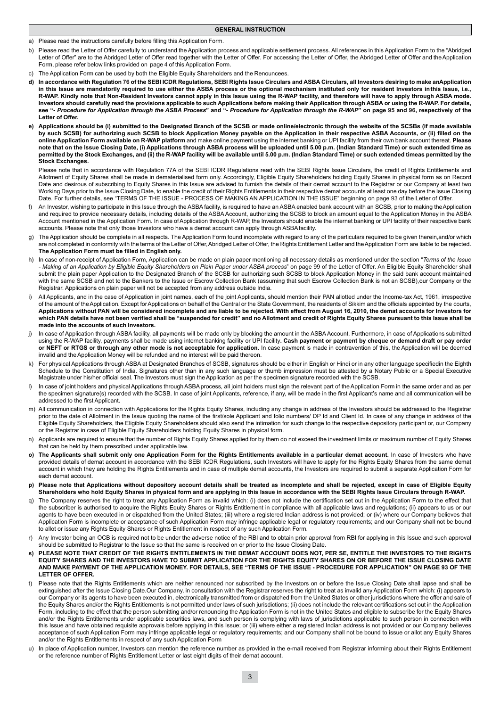**GENERAL INSTRUCTION**

a) Please read the instructions carefully before filling this Application Form.

- b) Please read the Letter of Offer carefully to understand the Application process and applicable settlement process. All references in this Application Form to the "Abridged Letter of Offer" are to the Abridged Letter of Offer read together with the Letter of Offer. For accessing the Letter of Offer, the Abridged Letter of Offer and the Application Form, please refer below links provided on page 4 of this Application Form.
- c) The Application Form can be used by both the Eligible Equity Shareholders and the Renouncees.
- **d) In accordance with Regulation 76 of the SEBI ICDR Regulations, SEBI Rights Issue Circulars and ASBA Circulars, all Investors desiring to make an Application in this Issue are mandatorily required to use either the ASBA process or the optional mechanism instituted only for resident Investors in this Issue, i.e., R-WAP. Kindly note that Non-Resident Investors cannot apply in this Issue using the R-WAP facility, and therefore will have to apply through ASBA mode. Investors should carefully read the provisions applicable to such Applications before making their Application through ASBA or using the R-WAP. For details, see "***- Procedure for Application through the ASBA Process***" and "***- Procedure for Application through the R-WAP***" on page 95 and 96, respectively of the Letter of Offer.**
- **e) Applications should be (i) submitted to the Designated Branch of the SCSB or made online/electronic through the website of the SCSBs (if made available by such SCSB) for authorizing such SCSB to block Application Money payable on the Application in their respective ASBA Accounts, or (ii) filled on the online Application Form available on R- WAP platform** and make online payment using the internet banking or UPI facility from their own bank account thereat. **Please note that on the Issue Closing Date, (i) Applications through ASBA process will be uploaded until 5.00 p.m. (Indian Standard Time) or such extended time as**  permitted by the Stock Exchanges, and (ii) the R-WAP facility will be available until 5.00 p.m. (Indian Standard Time) or such extended timeas permitted by the **Stock Exchanges.**

Please note that in accordance with Regulation 77A of the SEBI ICDR Regulations read with the SEBI Rights Issue Circulars, the credit of Rights Entitlements and Allotment of Equity Shares shall be made in dematerialised form only. Accordingly, Eligible Equity Shareholders holding Equity Shares in physical form as on Record Date and desirous of subscribing to Equity Shares in this Issue are advised to furnish the details of their demat account to the Registrar or our Company at least two Working Days prior to the Issue Closing Date, to enable the credit of their Rights Entitlements in their respective demat accounts at least one day before the Issue Closing Date. For further details, see "TERMS OF THE ISSUE - PROCESS OF MAKING AN APPLICATION IN THE ISSUE" beginning on page 93 of the Letter of Offer.

- An Investor, wishing to participate in this Issue through the ASBA facility, is required to have an ASBA enabled bank account with an SCSB, prior to making the Application and required to provide necessary details, including details of the ASBA Account, authorizing the SCSB to block an amount equal to the Application Money in the ASBA Account mentioned in the Application Form. In case of Application through R-WAP, the Investors should enable the internet banking or UPI facility of their respective bank accounts. Please note that only those Investors who have a demat account can apply through ASBA facility.
- g) The Application should be complete in all respects. The Application Form found incomplete with regard to any of the particulars required to be given therein, and/or which are not completed in conformity with the terms of the Letter of Offer, Abridged Letter of Offer, the Rights Entitlement Letter and the Application Form are liable to be rejected. **The Application Form must be filled in English only.**
- h) In case of non-receipt of Application Form, Application can be made on plain paper mentioning all necessary details as mentioned under the section "*Terms of the Issue - Making of an Application by Eligible Equity Shareholders on Plain Paper under ASBA process*" on page 99 of the Letter of Offer. An Eligible Equity Shareholder shall submit the plain paper Application to the Designated Branch of the SCSB for authorizing such SCSB to block Application Money in the said bank account maintained with the same SCSB and not to the Bankers to the Issue or Escrow Collection Bank (assuming that such Escrow Collection Bank is not an SCSB), our Company or the Registrar. Applications on plain paper will not be accepted from any address outside India.
- All Applicants, and in the case of Application in joint names, each of the joint Applicants, should mention their PAN allotted under the Income-tax Act, 1961, irrespective of the amount of the Application. Except for Applications on behalf of the Central or the State Government, the residents of Sikkim and the officials appointed by the courts, **Applications without PAN will be considered incomplete and are liable to be rejected. With effect from August 16, 2010, the demat accounts for Investors for which PAN details have not been verified shall be "suspended for credit" and no Allotment and credit of Rights Equity Shares pursuant to this Issue shall be made into the accounts of such Investors.**
- In case of Application through ASBA facility, all payments will be made only by blocking the amount in the ASBA Account. Furthermore, in case of Applications submitted using the R-WAP facility, payments shall be made using internet banking facility or UPI facility**. Cash payment or payment by cheque or demand draft or pay order or NEFT or RTGS or through any other mode is not acceptable for application**. In case payment is made in contravention of this, the Application will be deemed invalid and the Application Money will be refunded and no interest will be paid thereon.
- For physical Applications through ASBA at Designated Branches of SCSB, signatures should be either in English or Hindi or in any other language specifiedin the Eighth Schedule to the Constitution of India. Signatures other than in any such language or thumb impression must be attested by a Notary Public or a Special Executive Magistrate under his/her official seal. The Investors must sign the Application as per the specimen signature recorded with the SCSB.
- In case of joint holders and physical Applications through ASBA process, all joint holders must sign the relevant part of the Application Form in the same order and as per the specimen signature(s) recorded with the SCSB. In case of joint Applicants, reference, if any, will be made in the first Applicant's name and all communication will be addressed to the first Applicant.
- m) All communication in connection with Applications for the Rights Equity Shares, including any change in address of the Investors should be addressed to the Registrar prior to the date of Allotment in the Issue quoting the name of the first/sole Applicant and folio numbers/ DP Id and Client Id. In case of any change in address of the Eligible Equity Shareholders, the Eligible Equity Shareholders should also send the intimation for such change to the respective depository participant or, our Company or the Registrar in case of Eligible Equity Shareholders holding Equity Shares in physical form.
- n) Applicants are required to ensure that the number of Rights Equity Shares applied for by them do not exceed the investment limits or maximum number of Equity Shares that can be held by them prescribed under applicable law.
- **o) The Applicants shall submit only one Application Form for the Rights Entitlements available in a particular demat account.** In case of Investors who have provided details of demat account in accordance with the SEBI ICDR Regulations, such Investors will have to apply for the Rights Equity Shares from the same demat account in which they are holding the Rights Entitlements and in case of multiple demat accounts, the Investors are required to submit a separate Application Form for each demat account.
- **p) Please note that Applications without depository account details shall be treated as incomplete and shall be rejected, except in case of Eligible Equity**  Shareholders who hold Equity Shares in physical form and are applying in this Issue in accordance with the SEBI Rights Issue Circulars through R-WAP.
- The Company reserves the right to treat any Application Form as invalid which: (i) does not include the certification set out in the Application Form to the effect that the subscriber is authorised to acquire the Rights Equity Shares or Rights Entitlement in compliance with all applicable laws and regulations; (ii) appears to us or our agents to have been executed in or dispatched from the United States; (iii) where a registered Indian address is not provided; or (iv) where our Company believes that Application Form is incomplete or acceptance of such Application Form may infringe applicable legal or regulatory requirements; and our Company shall not be bound to allot or issue any Rights Equity Shares or Rights Entitlement in respect of any such Application Form.
- r) Any Investor being an OCB is required not to be under the adverse notice of the RBI and to obtain prior approval from RBI for applying in this Issue and such approval should be submitted to Registrar to the Issue so that the same is received on or prior to the Issue Closing Date.
- **s) PLEASE NOTE THAT CREDIT OF THE RIGHTS ENTITLEMENTS IN THE DEMAT ACCOUNT DOES NOT, PER SE, ENTITLE THE INVESTORS TO THE RIGHTS EQUITY SHARES AND THE INVESTORS HAVE TO SUBMIT APPLICATION FOR THE RIGHTS EQUITY SHARES ON OR BEFORE THE ISSUE CLOSING DATE AND MAKE PAYMENT OF THE APPLICATION MONEY. FOR DETAILS, SEE "TERMS OF THE ISSUE - PROCEDURE FOR APPLICATION" ON PAGE 93 OF THE LETTER OF OFFER.**
- Please note that the Rights Entitlements which are neither renounced nor subscribed by the Investors on or before the Issue Closing Date shall lapse and shall be extinguished after the Issue Closing Date.Our Company, in consultation with the Registrar reserves the right to treat as invalid any Application Form which: (i) appears to our Company or its agents to have been executed in, electronically transmitted from or dispatched from the United States or other jurisdictions where the offer and sale of the Equity Shares and/or the Rights Entitlements is not permitted under laws of such jurisdictions; (ii) does not include the relevant certifications set out in the Application Form, including to the effect that the person submitting and/or renouncing the Application Form is not in the United States and eligible to subscribe for the Equity Shares and/or the Rights Entitlements under applicable securities laws, and such person is complying with laws of jurisdictions applicable to such person in connection with this Issue and have obtained requisite approvals before applying in this Issue; or (iii) where either a registered Indian address is not provided or our Company believes acceptance of such Application Form may infringe applicable legal or regulatory requirements; and our Company shall not be bound to issue or allot any Equity Shares and/or the Rights Entitlements in respect of any such Application Form
- u) In place of Application number, Investors can mention the reference number as provided in the e-mail received from Registrar informing about their Rights Entitlement or the reference number of Rights Entitlement Letter or last eight digits of their demat account.